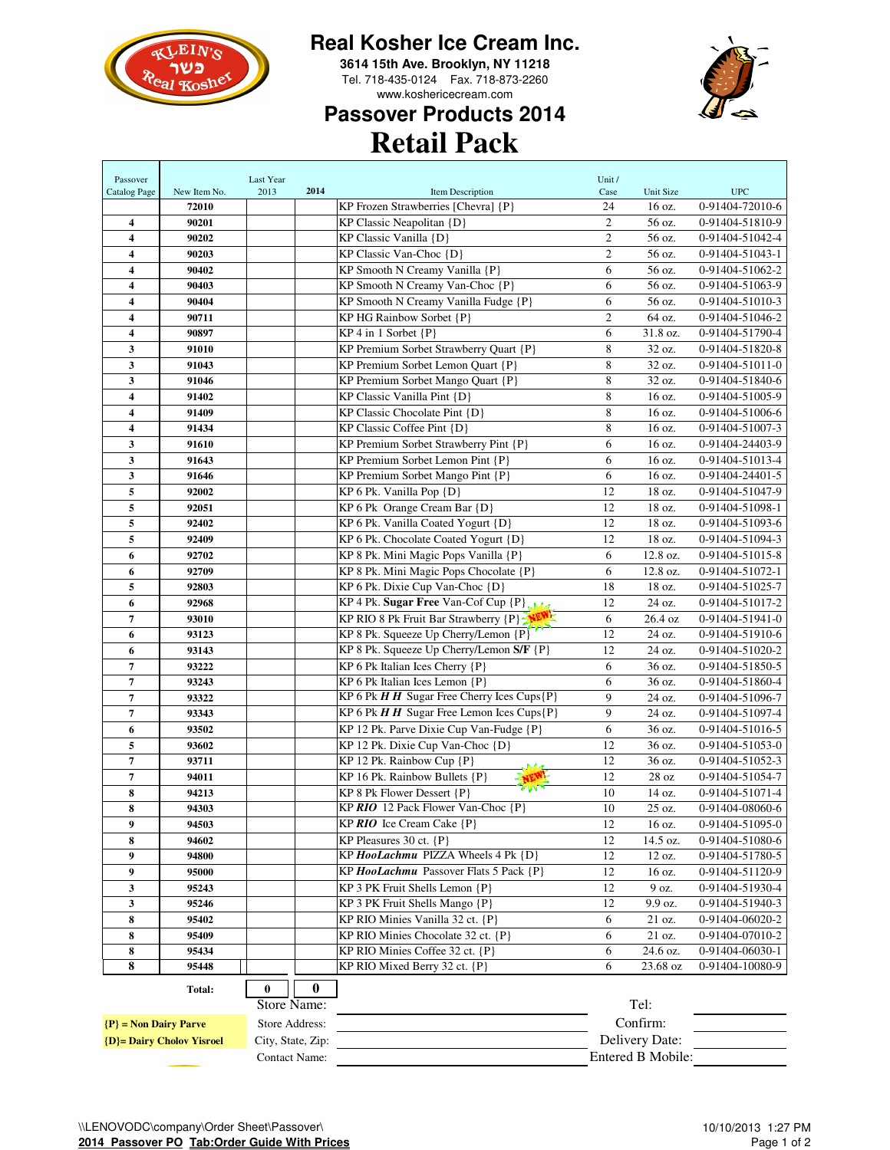

## **Real Kosher Ice Cream Inc.**

**3614 15th Ave. Brooklyn, NY 11218** Tel. 718-435-0124 Fax. 718-873-2260 www.koshericecream.com



## **Retail Pack Passover Products 2014**

| Passover                         |              | Last Year         |      |                                                                 | Unit /         |                   |                 |
|----------------------------------|--------------|-------------------|------|-----------------------------------------------------------------|----------------|-------------------|-----------------|
| Catalog Page                     | New Item No. | 2013              | 2014 | Item Description                                                | Case           | Unit Size         | <b>UPC</b>      |
|                                  | 72010        |                   |      | KP Frozen Strawberries [Chevra] {P}                             | 24             | 16 oz.            | 0-91404-72010-6 |
| 4                                | 90201        |                   |      | KP Classic Neapolitan {D}                                       | $\overline{c}$ | 56 oz.            | 0-91404-51810-9 |
| 4                                | 90202        |                   |      | KP Classic Vanilla {D}                                          | $\mathfrak{2}$ | 56 oz.            | 0-91404-51042-4 |
| 4                                | 90203        |                   |      | KP Classic Van-Choc {D}                                         | $\mathbf{2}$   | 56 oz.            | 0-91404-51043-1 |
| $\overline{\mathbf{4}}$          | 90402        |                   |      | KP Smooth N Creamy Vanilla {P}                                  | 6              | 56 oz.            | 0-91404-51062-2 |
| 4                                | 90403        |                   |      | KP Smooth N Creamy Van-Choc {P}                                 | 6              | 56 oz.            | 0-91404-51063-9 |
| 4                                | 90404        |                   |      | KP Smooth N Creamy Vanilla Fudge {P}                            | 6              | 56 oz.            | 0-91404-51010-3 |
| 4                                | 90711        |                   |      | KP HG Rainbow Sorbet {P}                                        | $\mathfrak{2}$ | 64 oz.            | 0-91404-51046-2 |
| 4                                | 90897        |                   |      | $KP$ 4 in 1 Sorbet $\{P\}$                                      | 6              | 31.8 oz.          | 0-91404-51790-4 |
| 3                                | 91010        |                   |      | KP Premium Sorbet Strawberry Quart {P}                          | $\,$ 8 $\,$    | 32 oz.            | 0-91404-51820-8 |
| 3                                | 91043        |                   |      | KP Premium Sorbet Lemon Quart {P}                               | 8              | 32 oz.            | 0-91404-51011-0 |
| 3                                | 91046        |                   |      | KP Premium Sorbet Mango Quart {P}                               | 8              | 32 oz.            | 0-91404-51840-6 |
| $\overline{\mathbf{4}}$          | 91402        |                   |      | KP Classic Vanilla Pint {D}                                     | 8              | 16 oz.            | 0-91404-51005-9 |
| 4                                | 91409        |                   |      | KP Classic Chocolate Pint {D}                                   | 8              | 16 oz.            | 0-91404-51006-6 |
| 4                                | 91434        |                   |      | $KP$ Classic Coffee Pint $\{D\}$                                | 8              | 16 oz.            | 0-91404-51007-3 |
| 3                                | 91610        |                   |      | KP Premium Sorbet Strawberry Pint {P}                           | 6              | 16 oz.            | 0-91404-24403-9 |
| 3                                | 91643        |                   |      | KP Premium Sorbet Lemon Pint {P}                                | 6              | 16 oz.            | 0-91404-51013-4 |
| 3                                | 91646        |                   |      | KP Premium Sorbet Mango Pint {P}                                | 6              | 16 oz.            | 0-91404-24401-5 |
| 5                                | 92002        |                   |      | KP 6 Pk. Vanilla Pop {D}                                        | 12             | 18 oz.            | 0-91404-51047-9 |
| 5                                | 92051        |                   |      | KP 6 Pk Orange Cream Bar {D}                                    | 12             | 18 oz.            | 0-91404-51098-1 |
| 5                                | 92402        |                   |      | KP 6 Pk. Vanilla Coated Yogurt {D}                              | 12             | 18 oz.            | 0-91404-51093-6 |
| 5                                | 92409        |                   |      | KP 6 Pk. Chocolate Coated Yogurt {D}                            | 12             | 18 oz.            | 0-91404-51094-3 |
| 6                                | 92702        |                   |      | KP 8 Pk. Mini Magic Pops Vanilla {P}                            | 6              | 12.8 oz.          | 0-91404-51015-8 |
| 6                                | 92709        |                   |      | KP 8 Pk. Mini Magic Pops Chocolate {P}                          | 6              | 12.8 oz.          | 0-91404-51072-1 |
| 5                                | 92803        |                   |      | KP 6 Pk. Dixie Cup Van-Choc {D}                                 | 18             | 18 oz.            | 0-91404-51025-7 |
| 6                                | 92968        |                   |      | KP 4 Pk. Sugar Free Van-Cof Cup {P}                             | 12             | 24 oz.            | 0-91404-51017-2 |
| 7                                | 93010        |                   |      | KP RIO 8 Pk Fruit Bar Strawberry {P}                            | 6              | 26.4 oz           | 0-91404-51941-0 |
| 6                                | 93123        |                   |      | KP 8 Pk. Squeeze Up Cherry/Lemon $\{P\}$                        | 12             | 24 oz.            | 0-91404-51910-6 |
| 6                                | 93143        |                   |      | KP 8 Pk. Squeeze Up Cherry/Lemon S/F {P}                        | 12             | 24 oz.            | 0-91404-51020-2 |
| 7                                | 93222        |                   |      | KP 6 Pk Italian Ices Cherry {P}                                 | 6              | 36 oz.            | 0-91404-51850-5 |
| 7                                | 93243        |                   |      | KP 6 Pk Italian Ices Lemon {P}                                  | 6              | 36 oz.            | 0-91404-51860-4 |
| $\overline{7}$                   | 93322        |                   |      | KP 6 Pk $HH$ Sugar Free Cherry Ices Cups $\{P\}$                | 9              | 24 oz.            | 0-91404-51096-7 |
| 7                                | 93343        |                   |      | KP 6 Pk $H \overline{H}$ Sugar Free Lemon Ices Cups $\{P\}$     | $\mathbf{Q}$   | 24 oz.            | 0-91404-51097-4 |
| 6                                | 93502        |                   |      | KP 12 Pk. Parve Dixie Cup Van-Fudge {P}                         | 6              | 36 oz.            | 0-91404-51016-5 |
| 5                                | 93602        |                   |      | KP 12 Pk. Dixie Cup Van-Choc {D}                                | 12             | 36 oz.            | 0-91404-51053-0 |
| 7                                | 93711        |                   |      | KP 12 Pk. Rainbow Cup $\{P\}$<br>مدد                            | 12             | 36 oz.            | 0-91404-51052-3 |
| 7                                | 94011        |                   |      | KP 16 Pk. Rainbow Bullets {P}<br>$\mathcal{V} \cap \mathcal{V}$ | 12             | 28 oz             | 0-91404-51054-7 |
| 8                                | 94213        |                   |      | KP 8 Pk Flower Dessert {P}                                      | 10             | 14 oz.            | 0-91404-51071-4 |
| 8                                | 94303        |                   |      | KP RIO 12 Pack Flower Van-Choc {P}                              | 10             | 25 oz.            | 0-91404-08060-6 |
| 9                                | 94503        |                   |      | KP $RIO$ Ice Cream Cake $\{P\}$                                 | 12             | 16 oz.            | 0-91404-51095-0 |
| 8                                | 94602        |                   |      | KP Pleasures 30 ct. {P}                                         | 12             | 14.5 oz.          | 0-91404-51080-6 |
| 9                                | 94800        |                   |      | KP HooLachmu PIZZA Wheels 4 Pk {D}                              | 12             | 12 oz.            | 0-91404-51780-5 |
| 9                                | 95000        |                   |      | KP HooLachmu Passover Flats 5 Pack {P}                          | 12             | 16 oz.            | 0-91404-51120-9 |
| 3                                | 95243        |                   |      | KP 3 PK Fruit Shells Lemon {P}                                  | 12             | 9 oz.             | 0-91404-51930-4 |
| 3                                | 95246        |                   |      | KP 3 PK Fruit Shells Mango {P}                                  | 12             | 9.9 oz.           | 0-91404-51940-3 |
| 8                                | 95402        |                   |      | KP RIO Minies Vanilla 32 ct. {P}                                | 6              | 21 oz.            | 0-91404-06020-2 |
| 8                                | 95409        |                   |      | KP RIO Minies Chocolate 32 ct. {P}                              | 6              | 21 oz.            | 0-91404-07010-2 |
| 8                                | 95434        |                   |      | KP RIO Minies Coffee 32 ct. {P}                                 | 6              | 24.6 oz.          | 0-91404-06030-1 |
| 8                                | 95448        |                   |      | KP RIO Mixed Berry 32 ct. {P}                                   | 6              | 23.68 oz          | 0-91404-10080-9 |
|                                  | Total:       | 0                 | 0    |                                                                 |                |                   |                 |
|                                  |              | Store Name:       |      |                                                                 |                | Tel:              |                 |
| $P$ = Non Dairy Parve            |              | Store Address:    |      |                                                                 |                | Confirm:          |                 |
| <b>{D}= Dairy Cholov Yisroel</b> |              | City, State, Zip: |      |                                                                 |                | Delivery Date:    |                 |
|                                  |              | Contact Name:     |      |                                                                 |                | Entered B Mobile: |                 |
|                                  |              |                   |      |                                                                 |                |                   |                 |